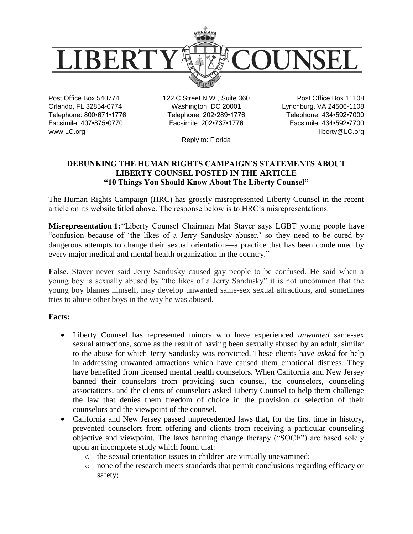

Post Office Box 540774 Orlando, FL 32854-0774 Telephone: 800•671•1776 Facsimile: 407•875•0770 www.LC.org

122 C Street N.W., Suite 360 Washington, DC 20001 Telephone: 202•289•1776 Facsimile: 202•737•1776

Post Office Box 11108 Lynchburg, VA 24506-1108 Telephone: 434•592•7000 Facsimile: 434•592•7700 liberty@LC.org

Reply to: Florida

# **DEBUNKING THE HUMAN RIGHTS CAMPAIGN'S STATEMENTS ABOUT LIBERTY COUNSEL POSTED IN THE ARTICLE "10 Things You Should Know About The Liberty Counsel"**

The Human Rights Campaign (HRC) has grossly misrepresented Liberty Counsel in the recent article on its website titled above. The response below is to HRC's misrepresentations.

**Misrepresentation 1:**"Liberty Counsel Chairman Mat Staver says LGBT young people have "confusion because of 'the likes of a Jerry Sandusky abuser,' so they need to be cured by dangerous attempts to change their sexual orientation—a practice that has been condemned by every major medical and mental health organization in the country."

**False.** Staver never said Jerry Sandusky caused gay people to be confused. He said when a young boy is sexually abused by "the likes of a Jerry Sandusky" it is not uncommon that the young boy blames himself, may develop unwanted same-sex sexual attractions, and sometimes tries to abuse other boys in the way he was abused.

## **Facts:**

- Liberty Counsel has represented minors who have experienced *unwanted* same-sex sexual attractions, some as the result of having been sexually abused by an adult, similar to the abuse for which Jerry Sandusky was convicted. These clients have *asked* for help in addressing unwanted attractions which have caused them emotional distress. They have benefited from licensed mental health counselors. When California and New Jersey banned their counselors from providing such counsel, the counselors, counseling associations, and the clients of counselors asked Liberty Counsel to help them challenge the law that denies them freedom of choice in the provision or selection of their counselors and the viewpoint of the counsel.
- California and New Jersey passed unprecedented laws that, for the first time in history, prevented counselors from offering and clients from receiving a particular counseling objective and viewpoint. The laws banning change therapy ("SOCE") are based solely upon an incomplete study which found that:
	- o the sexual orientation issues in children are virtually unexamined;
	- o none of the research meets standards that permit conclusions regarding efficacy or safety;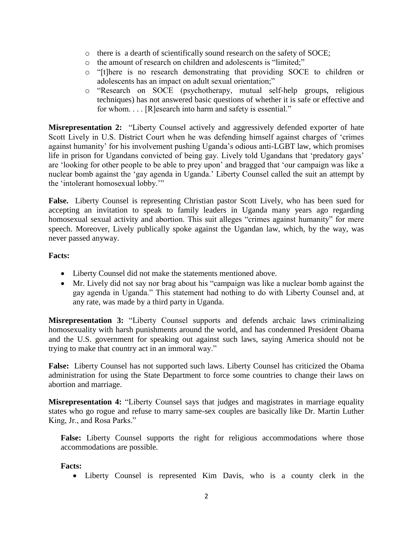- o there is a dearth of scientifically sound research on the safety of SOCE;
- o the amount of research on children and adolescents is "limited;"
- o "[t]here is no research demonstrating that providing SOCE to children or adolescents has an impact on adult sexual orientation;"
- o "Research on SOCE (psychotherapy, mutual self-help groups, religious techniques) has not answered basic questions of whether it is safe or effective and for whom. . . . [R]esearch into harm and safety is essential."

**Misrepresentation 2:** "Liberty Counsel actively and aggressively defended exporter of hate Scott Lively in U.S. District Court when he was defending himself against charges of 'crimes against humanity' for his involvement pushing Uganda's odious anti-LGBT law, which promises life in prison for Ugandans convicted of being gay. Lively told Ugandans that 'predatory gays' are 'looking for other people to be able to prey upon' and bragged that 'our campaign was like a nuclear bomb against the 'gay agenda in Uganda.' Liberty Counsel called the suit an attempt by the 'intolerant homosexual lobby.'"

**False.** Liberty Counsel is representing Christian pastor Scott Lively, who has been sued for accepting an invitation to speak to family leaders in Uganda many years ago regarding homosexual sexual activity and abortion. This suit alleges "crimes against humanity" for mere speech. Moreover, Lively publically spoke against the Ugandan law, which, by the way, was never passed anyway.

#### **Facts:**

- Liberty Counsel did not make the statements mentioned above.
- Mr. Lively did not say nor brag about his "campaign was like a nuclear bomb against the gay agenda in Uganda." This statement had nothing to do with Liberty Counsel and, at any rate, was made by a third party in Uganda.

**Misrepresentation 3:** "Liberty Counsel supports and defends archaic laws criminalizing homosexuality with harsh punishments around the world, and has condemned President Obama and the U.S. government for speaking out against such laws, saying America should not be trying to make that country act in an immoral way."

**False:** Liberty Counsel has not supported such laws. Liberty Counsel has criticized the Obama administration for using the State Department to force some countries to change their laws on abortion and marriage.

**Misrepresentation 4:** "Liberty Counsel says that judges and magistrates in marriage equality states who go rogue and refuse to marry same-sex couples are basically like Dr. Martin Luther King, Jr., and Rosa Parks."

False: Liberty Counsel supports the right for religious accommodations where those accommodations are possible.

#### **Facts:**

Liberty Counsel is represented Kim Davis, who is a county clerk in the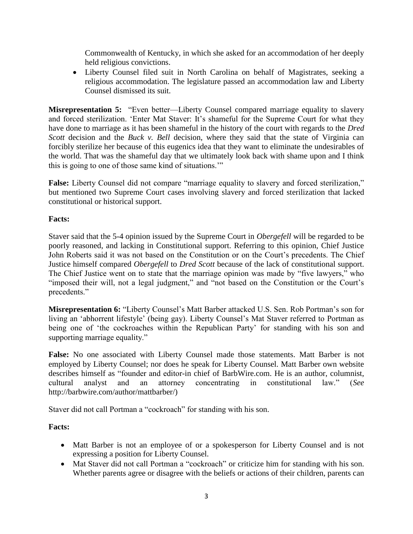Commonwealth of Kentucky, in which she asked for an accommodation of her deeply held religious convictions.

 Liberty Counsel filed suit in North Carolina on behalf of Magistrates, seeking a religious accommodation. The legislature passed an accommodation law and Liberty Counsel dismissed its suit.

**Misrepresentation 5:** "Even better—Liberty Counsel compared marriage equality to slavery and forced sterilization. 'Enter Mat Staver: It's shameful for the Supreme Court for what they have done to marriage as it has been shameful in the history of the court with regards to the *Dred Scott* decision and the *Buck v. Bell* decision, where they said that the state of Virginia can forcibly sterilize her because of this eugenics idea that they want to eliminate the undesirables of the world. That was the shameful day that we ultimately look back with shame upon and I think this is going to one of those same kind of situations.'"

**False:** Liberty Counsel did not compare "marriage equality to slavery and forced sterilization," but mentioned two Supreme Court cases involving slavery and forced sterilization that lacked constitutional or historical support.

## **Facts:**

Staver said that the 5-4 opinion issued by the Supreme Court in *Obergefell* will be regarded to be poorly reasoned, and lacking in Constitutional support. Referring to this opinion, Chief Justice John Roberts said it was not based on the Constitution or on the Court's precedents. The Chief Justice himself compared *Obergefell* to *Dred Scott* because of the lack of constitutional support. The Chief Justice went on to state that the marriage opinion was made by "five lawyers," who "imposed their will, not a legal judgment," and "not based on the Constitution or the Court's precedents."

**Misrepresentation 6:** "Liberty Counsel's Matt Barber attacked U.S. Sen. Rob Portman's son for living an 'abhorrent lifestyle' (being gay). Liberty Counsel's Mat Staver referred to Portman as being one of 'the cockroaches within the Republican Party' for standing with his son and supporting marriage equality."

**False:** No one associated with Liberty Counsel made those statements. Matt Barber is not employed by Liberty Counsel; nor does he speak for Liberty Counsel. Matt Barber own website describes himself as "founder and editor-in chief of BarbWire.com. He is an author, columnist, cultural analyst and an attorney concentrating in constitutional law." (*See* http://barbwire.com/author/mattbarber/)

Staver did not call Portman a "cockroach" for standing with his son.

## **Facts:**

- Matt Barber is not an employee of or a spokesperson for Liberty Counsel and is not expressing a position for Liberty Counsel.
- Mat Staver did not call Portman a "cockroach" or criticize him for standing with his son. Whether parents agree or disagree with the beliefs or actions of their children, parents can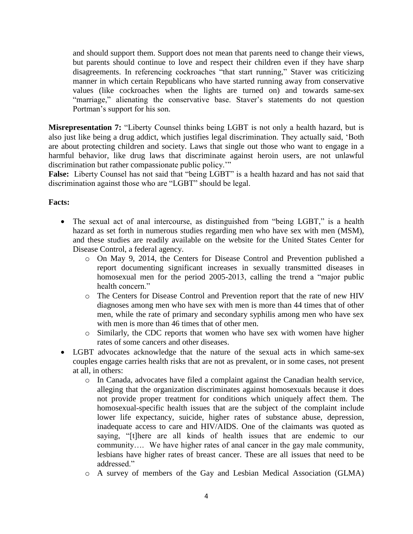and should support them. Support does not mean that parents need to change their views, but parents should continue to love and respect their children even if they have sharp disagreements. In referencing cockroaches "that start running," Staver was criticizing manner in which certain Republicans who have started running away from conservative values (like cockroaches when the lights are turned on) and towards same-sex "marriage," alienating the conservative base. Staver's statements do not question Portman's support for his son.

**Misrepresentation 7:** "Liberty Counsel thinks being LGBT is not only a health hazard, but is also just like being a drug addict, which justifies legal discrimination. They actually said, 'Both are about protecting children and society. Laws that single out those who want to engage in a harmful behavior, like drug laws that discriminate against heroin users, are not unlawful discrimination but rather compassionate public policy.'"

**False:** Liberty Counsel has not said that "being LGBT" is a health hazard and has not said that discrimination against those who are "LGBT" should be legal.

#### **Facts:**

- The sexual act of anal intercourse, as distinguished from "being LGBT," is a health hazard as set forth in numerous studies regarding men who have sex with men (MSM), and these studies are readily available on the website for the United States Center for Disease Control, a federal agency.
	- o On May 9, 2014, the Centers for Disease Control and Prevention published a report documenting significant increases in sexually transmitted diseases in homosexual men for the period 2005-2013, calling the trend a "major public health concern."
	- o The Centers for Disease Control and Prevention report that the rate of new HIV diagnoses among men who have sex with men is more than 44 times that of other men, while the rate of primary and secondary syphilis among men who have sex with men is more than 46 times that of other men.
	- o Similarly, the CDC reports that women who have sex with women have higher rates of some cancers and other diseases.
- LGBT advocates acknowledge that the nature of the sexual acts in which same-sex couples engage carries health risks that are not as prevalent, or in some cases, not present at all, in others:
	- o In Canada, advocates have filed a complaint against the Canadian health service, alleging that the organization discriminates against homosexuals because it does not provide proper treatment for conditions which uniquely affect them. The homosexual-specific health issues that are the subject of the complaint include lower life expectancy, suicide, higher rates of substance abuse, depression, inadequate access to care and HIV/AIDS. One of the claimants was quoted as saying, "[t]here are all kinds of health issues that are endemic to our community…. We have higher rates of anal cancer in the gay male community, lesbians have higher rates of breast cancer. These are all issues that need to be addressed."
	- o A survey of members of the Gay and Lesbian Medical Association (GLMA)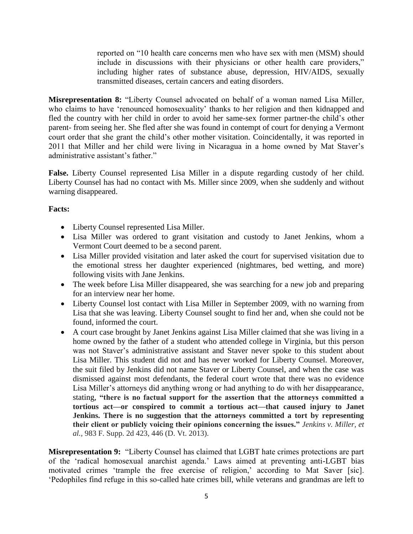reported on "10 health care concerns men who have sex with men (MSM) should include in discussions with their physicians or other health care providers," including higher rates of substance abuse, depression, HIV/AIDS, sexually transmitted diseases, certain cancers and eating disorders.

**Misrepresentation 8:** "Liberty Counsel advocated on behalf of a woman named Lisa Miller, who claims to have 'renounced homosexuality' thanks to her religion and then kidnapped and fled the country with her child in order to avoid her same-sex former partner-the child's other parent- from seeing her. She fled after she was found in contempt of court for denying a Vermont court order that she grant the child's other mother visitation. Coincidentally, it was reported in 2011 that Miller and her child were living in Nicaragua in a home owned by Mat Staver's administrative assistant's father."

**False.** Liberty Counsel represented Lisa Miller in a dispute regarding custody of her child. Liberty Counsel has had no contact with Ms. Miller since 2009, when she suddenly and without warning disappeared.

## **Facts:**

- Liberty Counsel represented Lisa Miller.
- Lisa Miller was ordered to grant visitation and custody to Janet Jenkins, whom a Vermont Court deemed to be a second parent.
- Lisa Miller provided visitation and later asked the court for supervised visitation due to the emotional stress her daughter experienced (nightmares, bed wetting, and more) following visits with Jane Jenkins.
- The week before Lisa Miller disappeared, she was searching for a new job and preparing for an interview near her home.
- Liberty Counsel lost contact with Lisa Miller in September 2009, with no warning from Lisa that she was leaving. Liberty Counsel sought to find her and, when she could not be found, informed the court.
- A court case brought by Janet Jenkins against Lisa Miller claimed that she was living in a home owned by the father of a student who attended college in Virginia, but this person was not Staver's administrative assistant and Staver never spoke to this student about Lisa Miller. This student did not and has never worked for Liberty Counsel. Moreover, the suit filed by Jenkins did not name Staver or Liberty Counsel, and when the case was dismissed against most defendants, the federal court wrote that there was no evidence Lisa Miller's attorneys did anything wrong or had anything to do with her disappearance, stating, **"there is no factual support for the assertion that the attorneys committed a tortious act—or conspired to commit a tortious act—that caused injury to Janet Jenkins. There is no suggestion that the attorneys committed a tort by representing their client or publicly voicing their opinions concerning the issues."** *Jenkins v. Miller, et al.,* 983 F. Supp. 2d 423, 446 (D. Vt. 2013).

**Misrepresentation 9:** "Liberty Counsel has claimed that LGBT hate crimes protections are part of the 'radical homosexual anarchist agenda.' Laws aimed at preventing anti-LGBT bias motivated crimes 'trample the free exercise of religion,' according to Mat Saver [sic]. 'Pedophiles find refuge in this so-called hate crimes bill, while veterans and grandmas are left to